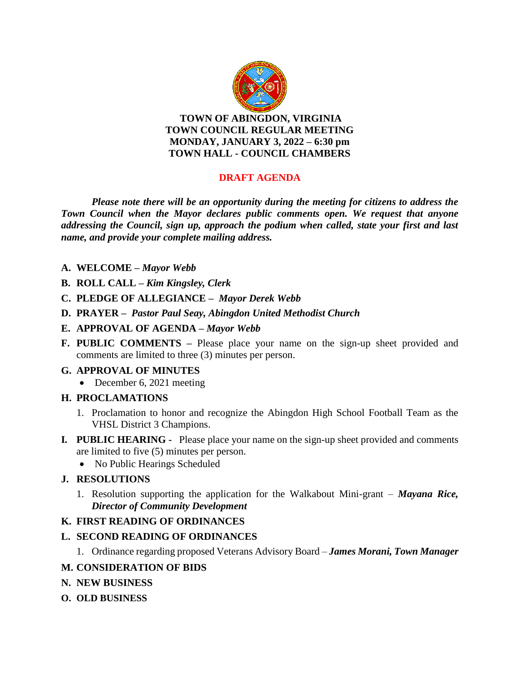

**TOWN OF ABINGDON, VIRGINIA TOWN COUNCIL REGULAR MEETING MONDAY, JANUARY 3, 2022 – 6:30 pm TOWN HALL - COUNCIL CHAMBERS**

# **DRAFT AGENDA**

*Please note there will be an opportunity during the meeting for citizens to address the Town Council when the Mayor declares public comments open. We request that anyone addressing the Council, sign up, approach the podium when called, state your first and last name, and provide your complete mailing address.*

- **A. WELCOME –** *Mayor Webb*
- **B. ROLL CALL –** *Kim Kingsley, Clerk*
- **C. PLEDGE OF ALLEGIANCE –** *Mayor Derek Webb*
- **D. PRAYER** *Pastor Paul Seay, Abingdon United Methodist Church*
- **E. APPROVAL OF AGENDA –** *Mayor Webb*
- **F. PUBLIC COMMENTS –** Please place your name on the sign-up sheet provided and comments are limited to three (3) minutes per person.

#### **G. APPROVAL OF MINUTES**

• December 6, 2021 meeting

#### **H. PROCLAMATIONS**

- 1. Proclamation to honor and recognize the Abingdon High School Football Team as the VHSL District 3 Champions.
- **I***.* **PUBLIC HEARING** Please place your name on the sign-up sheet provided and comments are limited to five (5) minutes per person.
	- No Public Hearings Scheduled

## **J. RESOLUTIONS**

1. Resolution supporting the application for the Walkabout Mini-grant – *Mayana Rice, Director of Community Development*

## **K. FIRST READING OF ORDINANCES**

#### **L. SECOND READING OF ORDINANCES**

1. Ordinance regarding proposed Veterans Advisory Board – *James Morani, Town Manager*

#### **M. CONSIDERATION OF BIDS**

- **N. NEW BUSINESS**
- **O. OLD BUSINESS**